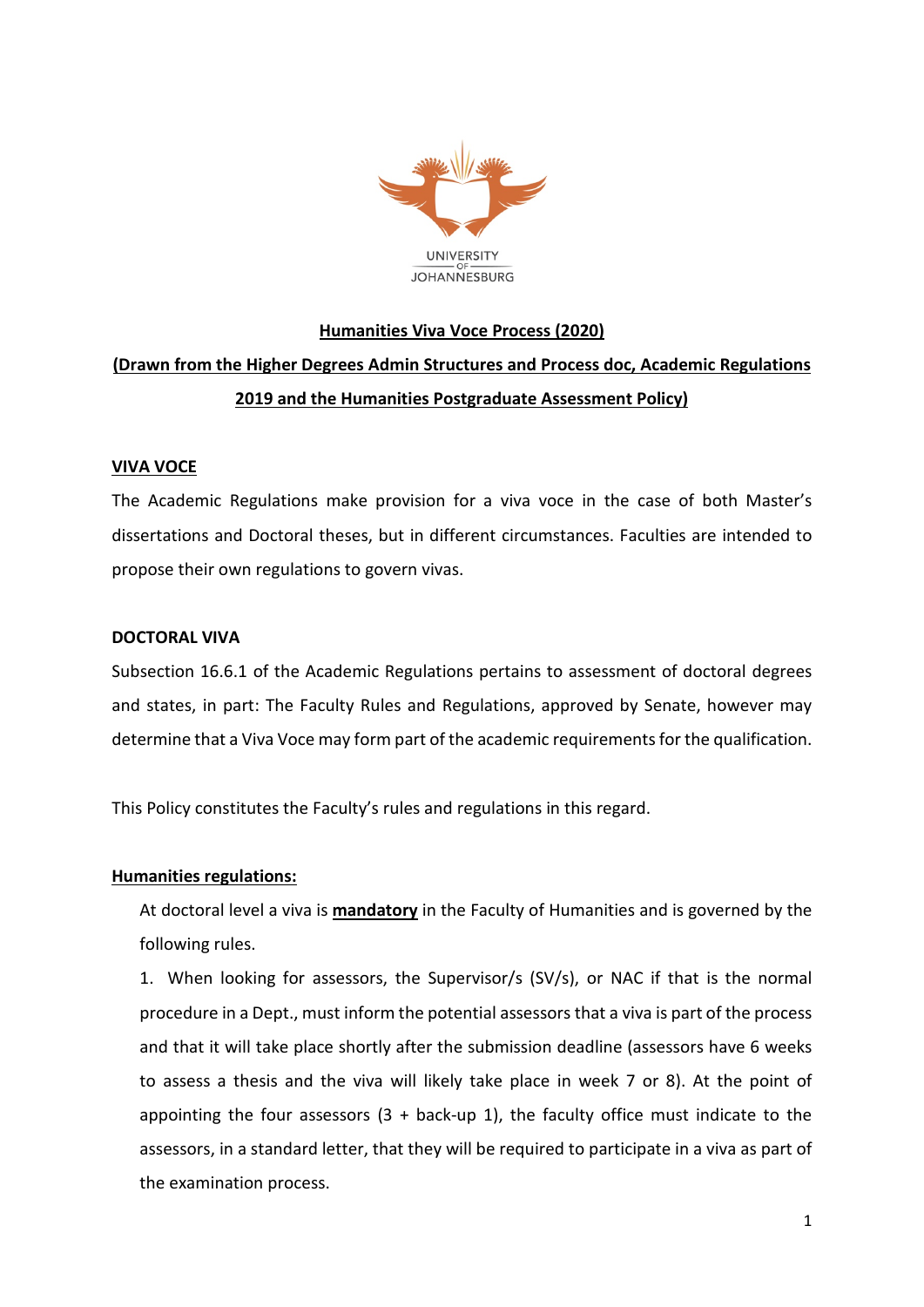

# **Humanities Viva Voce Process (2020) (Drawn from the Higher Degrees Admin Structures and Process doc, Academic Regulations 2019 and the Humanities Postgraduate Assessment Policy)**

### **VIVA VOCE**

The Academic Regulations make provision for a viva voce in the case of both Master's dissertations and Doctoral theses, but in different circumstances. Faculties are intended to propose their own regulations to govern vivas.

## **DOCTORAL VIVA**

Subsection 16.6.1 of the Academic Regulations pertains to assessment of doctoral degrees and states, in part: The Faculty Rules and Regulations, approved by Senate, however may determine that a Viva Voce may form part of the academic requirements for the qualification.

This Policy constitutes the Faculty's rules and regulations in this regard.

# **Humanities regulations:**

At doctoral level a viva is **mandatory** in the Faculty of Humanities and is governed by the following rules.

1. When looking for assessors, the Supervisor/s (SV/s), or NAC if that is the normal procedure in a Dept., must inform the potential assessors that a viva is part of the process and that it will take place shortly after the submission deadline (assessors have 6 weeks to assess a thesis and the viva will likely take place in week 7 or 8). At the point of appointing the four assessors  $(3 + back-up 1)$ , the faculty office must indicate to the assessors, in a standard letter, that they will be required to participate in a viva as part of the examination process.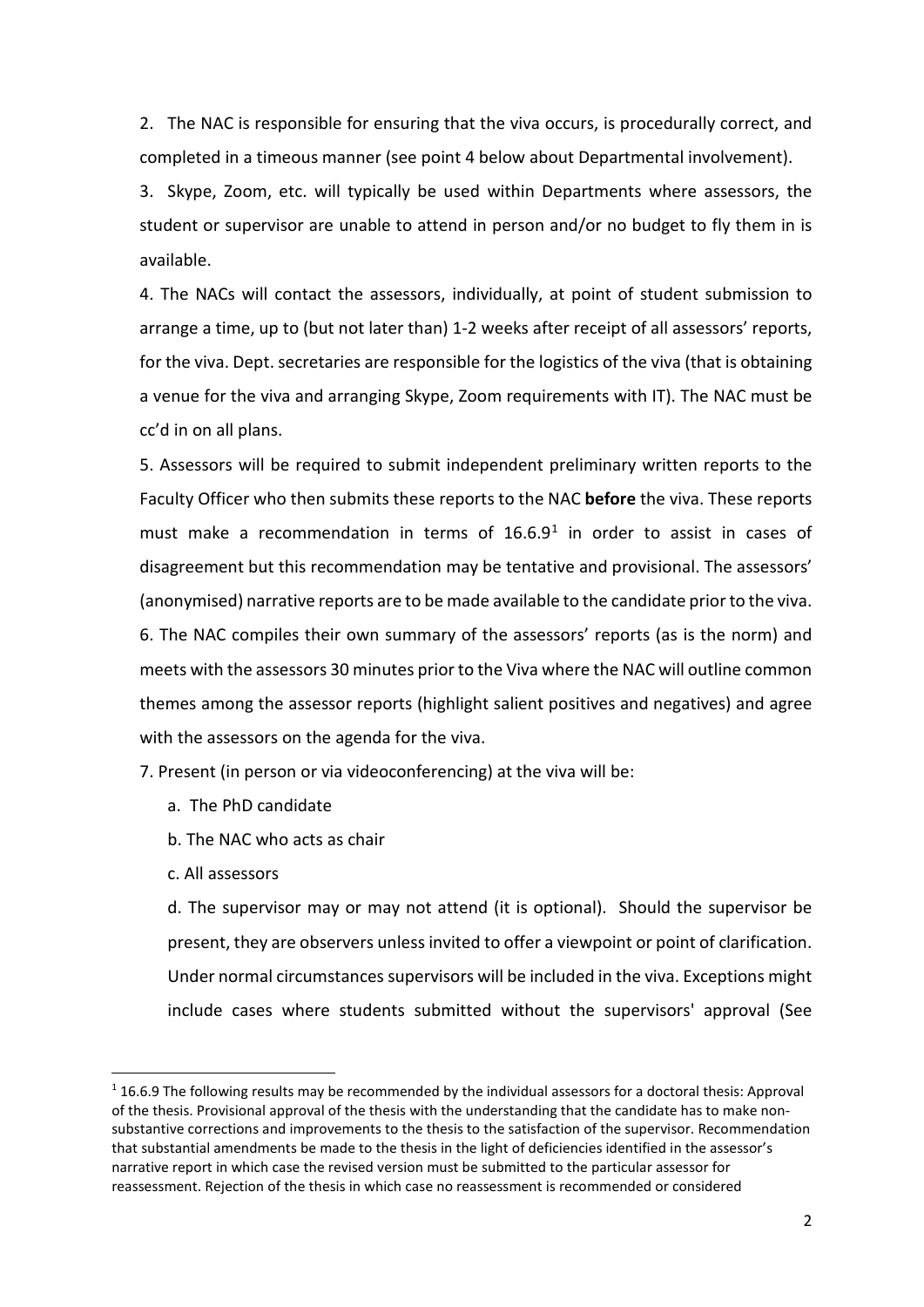2. The NAC is responsible for ensuring that the viva occurs, is procedurally correct, and completed in a timeous manner (see point 4 below about Departmental involvement).

3. Skype, Zoom, etc. will typically be used within Departments where assessors, the student or supervisor are unable to attend in person and/or no budget to fly them in is available.

4. The NACs will contact the assessors, individually, at point of student submission to arrange a time, up to (but not later than) 1-2 weeks after receipt of all assessors' reports, for the viva. Dept. secretaries are responsible for the logistics of the viva (that is obtaining a venue for the viva and arranging Skype, Zoom requirements with IT). The NAC must be cc'd in on all plans.

5. Assessors will be required to submit independent preliminary written reports to the Faculty Officer who then submits these reports to the NAC **before** the viva. These reports must make a recommendation in terms of  $16.6.9<sup>1</sup>$  $16.6.9<sup>1</sup>$  in order to assist in cases of disagreement but this recommendation may be tentative and provisional. The assessors' (anonymised) narrative reports are to be made available to the candidate prior to the viva. 6. The NAC compiles their own summary of the assessors' reports (as is the norm) and meets with the assessors 30 minutes prior to the Viva where the NAC will outline common themes among the assessor reports (highlight salient positives and negatives) and agree with the assessors on the agenda for the viva.

7. Present (in person or via videoconferencing) at the viva will be:

- a. The PhD candidate
- b. The NAC who acts as chair
- c. All assessors

d. The supervisor may or may not attend (it is optional). Should the supervisor be present, they are observers unless invited to offer a viewpoint or point of clarification. Under normal circumstances supervisors will be included in the viva. Exceptions might include cases where students submitted without the supervisors' approval (See

<span id="page-1-0"></span> <sup>1</sup> 16.6.9 The following results may be recommended by the individual assessors for a doctoral thesis: Approval of the thesis. Provisional approval of the thesis with the understanding that the candidate has to make nonsubstantive corrections and improvements to the thesis to the satisfaction of the supervisor. Recommendation that substantial amendments be made to the thesis in the light of deficiencies identified in the assessor's narrative report in which case the revised version must be submitted to the particular assessor for reassessment. Rejection of the thesis in which case no reassessment is recommended or considered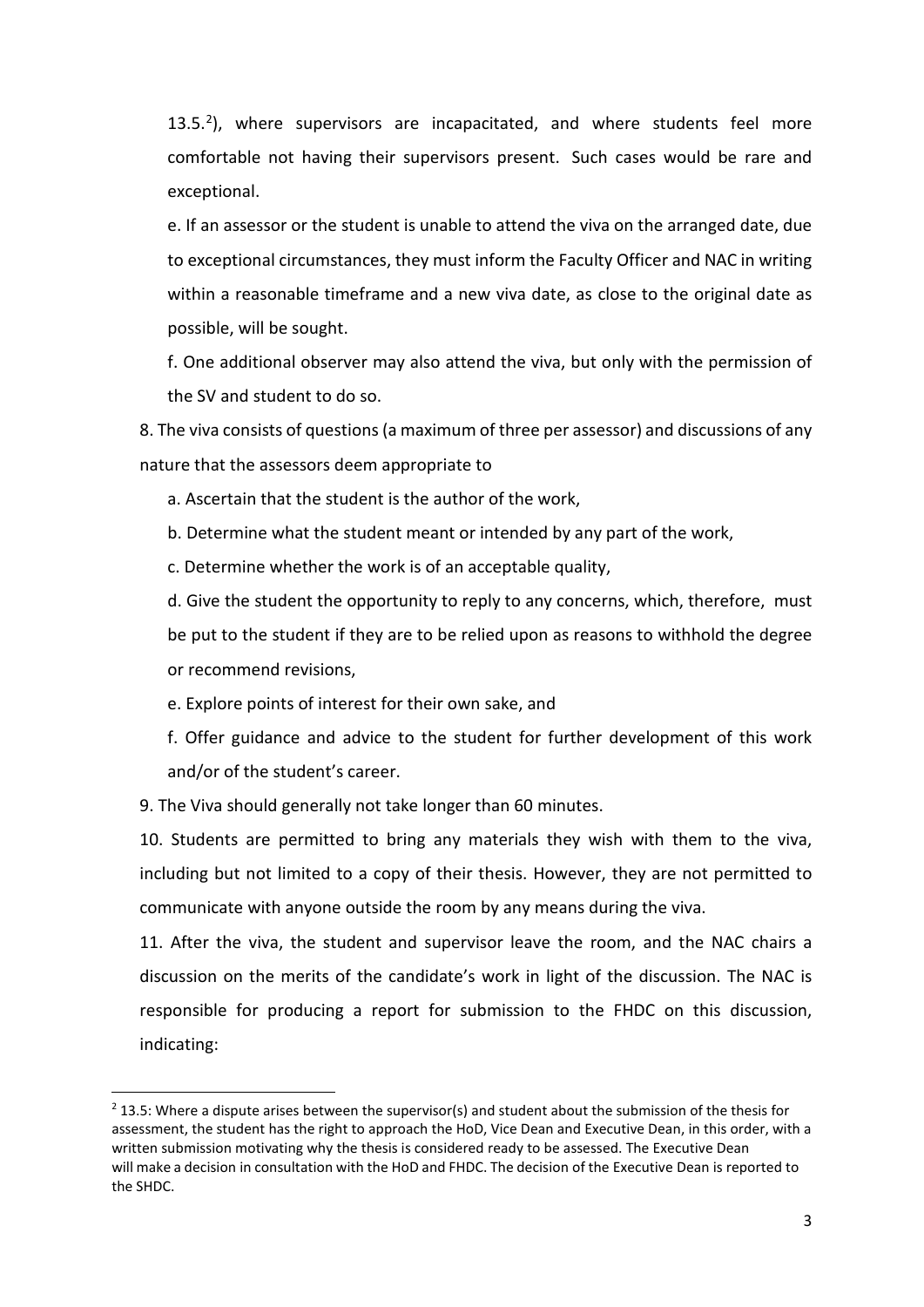$13.5<sup>2</sup>$ ), where supervisors are incapacitated, and where students feel more comfortable not having their supervisors present. Such cases would be rare and exceptional.

e. If an assessor or the student is unable to attend the viva on the arranged date, due to exceptional circumstances, they must inform the Faculty Officer and NAC in writing within a reasonable timeframe and a new viva date, as close to the original date as possible, will be sought.

f. One additional observer may also attend the viva, but only with the permission of the SV and student to do so.

8. The viva consists of questions (a maximum of three per assessor) and discussions of any nature that the assessors deem appropriate to

a. Ascertain that the student is the author of the work,

b. Determine what the student meant or intended by any part of the work,

c. Determine whether the work is of an acceptable quality,

d. Give the student the opportunity to reply to any concerns, which, therefore, must be put to the student if they are to be relied upon as reasons to withhold the degree or recommend revisions,

e. Explore points of interest for their own sake, and

f. Offer guidance and advice to the student for further development of this work and/or of the student's career.

9. The Viva should generally not take longer than 60 minutes.

10. Students are permitted to bring any materials they wish with them to the viva, including but not limited to a copy of their thesis. However, they are not permitted to communicate with anyone outside the room by any means during the viva.

11. After the viva, the student and supervisor leave the room, and the NAC chairs a discussion on the merits of the candidate's work in light of the discussion. The NAC is responsible for producing a report for submission to the FHDC on this discussion, indicating:

<span id="page-2-0"></span> $2$  13.5: Where a dispute arises between the supervisor(s) and student about the submission of the thesis for assessment, the student has the right to approach the HoD, Vice Dean and Executive Dean, in this order, with a written submission motivating why the thesis is considered ready to be assessed. The Executive Dean will make a decision in consultation with the HoD and FHDC. The decision of the Executive Dean is reported to the SHDC.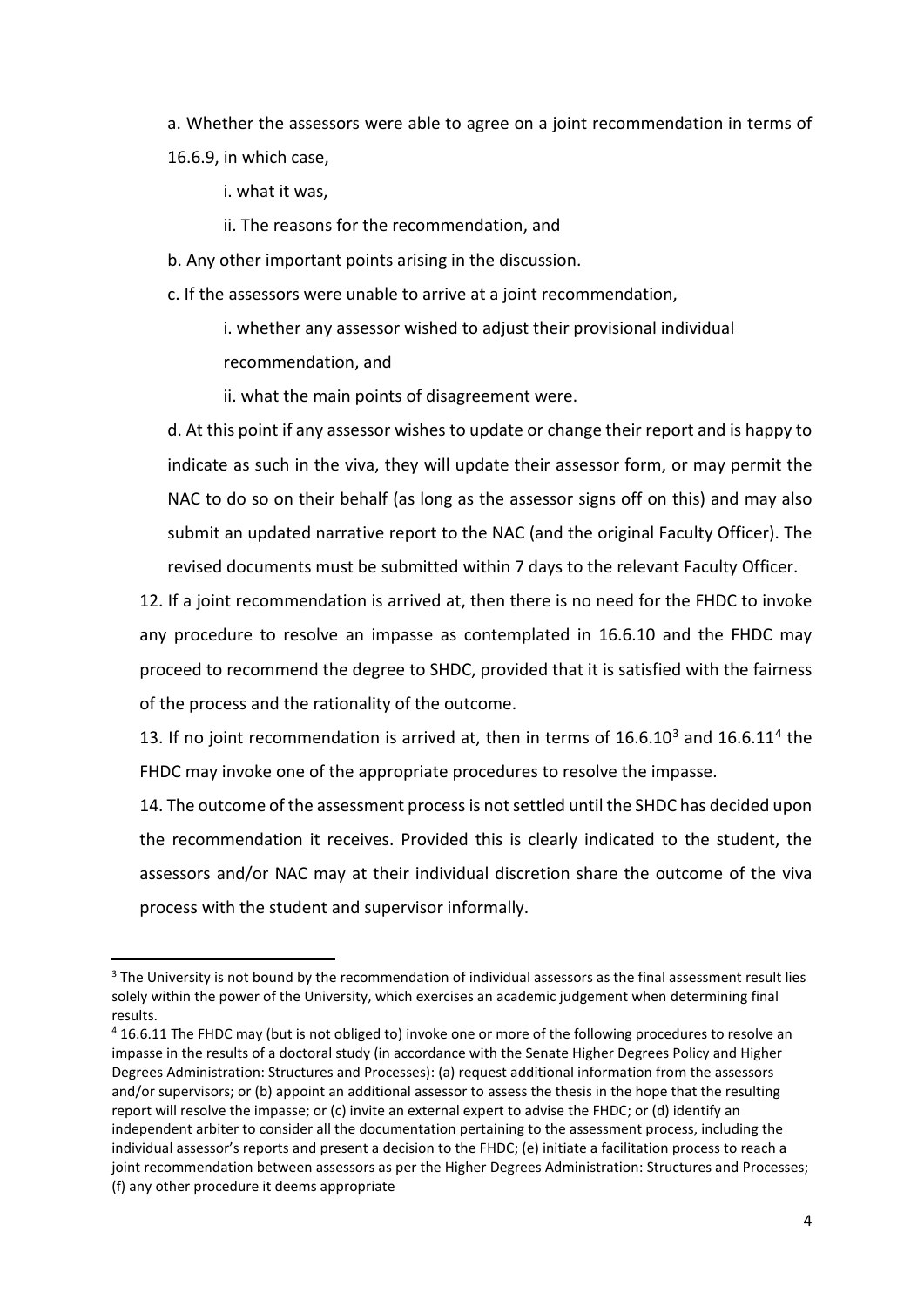a. Whether the assessors were able to agree on a joint recommendation in terms of 16.6.9, in which case,

i. what it was,

ii. The reasons for the recommendation, and

b. Any other important points arising in the discussion.

c. If the assessors were unable to arrive at a joint recommendation,

i. whether any assessor wished to adjust their provisional individual recommendation, and

ii. what the main points of disagreement were.

d. At this point if any assessor wishes to update or change their report and is happy to indicate as such in the viva, they will update their assessor form, or may permit the NAC to do so on their behalf (as long as the assessor signs off on this) and may also submit an updated narrative report to the NAC (and the original Faculty Officer). The revised documents must be submitted within 7 days to the relevant Faculty Officer.

12. If a joint recommendation is arrived at, then there is no need for the FHDC to invoke any procedure to resolve an impasse as contemplated in 16.6.10 and the FHDC may proceed to recommend the degree to SHDC, provided that it is satisfied with the fairness of the process and the rationality of the outcome.

1[3](#page-3-0). If no joint recommendation is arrived at, then in terms of  $16.6.10<sup>3</sup>$  and  $16.6.11<sup>4</sup>$  $16.6.11<sup>4</sup>$  $16.6.11<sup>4</sup>$  the FHDC may invoke one of the appropriate procedures to resolve the impasse.

14. The outcome of the assessment process is not settled until the SHDC has decided upon the recommendation it receives. Provided this is clearly indicated to the student, the assessors and/or NAC may at their individual discretion share the outcome of the viva process with the student and supervisor informally.

<span id="page-3-0"></span><sup>&</sup>lt;sup>3</sup> The University is not bound by the recommendation of individual assessors as the final assessment result lies solely within the power of the University, which exercises an academic judgement when determining final results.

<span id="page-3-1"></span><sup>4</sup> 16.6.11 The FHDC may (but is not obliged to) invoke one or more of the following procedures to resolve an impasse in the results of a doctoral study (in accordance with the Senate Higher Degrees Policy and Higher Degrees Administration: Structures and Processes): (a) request additional information from the assessors and/or supervisors; or (b) appoint an additional assessor to assess the thesis in the hope that the resulting report will resolve the impasse; or (c) invite an external expert to advise the FHDC; or (d) identify an independent arbiter to consider all the documentation pertaining to the assessment process, including the individual assessor's reports and present a decision to the FHDC; (e) initiate a facilitation process to reach a joint recommendation between assessors as per the Higher Degrees Administration: Structures and Processes; (f) any other procedure it deems appropriate